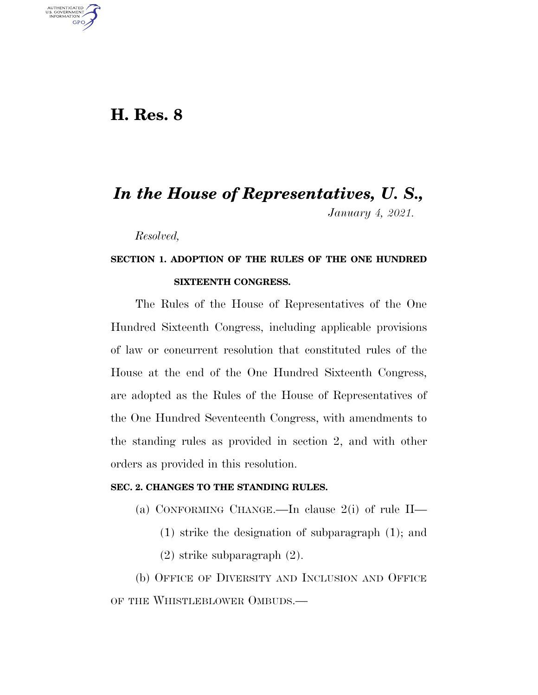### **H. Res. 8**

U.S. GOVERNMENT GPO

# *In the House of Representatives, U. S., January 4, 2021.*

*Resolved,* 

## **SECTION 1. ADOPTION OF THE RULES OF THE ONE HUNDRED SIXTEENTH CONGRESS.**

The Rules of the House of Representatives of the One Hundred Sixteenth Congress, including applicable provisions of law or concurrent resolution that constituted rules of the House at the end of the One Hundred Sixteenth Congress, are adopted as the Rules of the House of Representatives of the One Hundred Seventeenth Congress, with amendments to the standing rules as provided in section 2, and with other orders as provided in this resolution.

### **SEC. 2. CHANGES TO THE STANDING RULES.**

- (a) CONFORMING CHANGE.—In clause 2(i) of rule II—
	- (1) strike the designation of subparagraph (1); and
	- (2) strike subparagraph (2).

(b) OFFICE OF DIVERSITY AND INCLUSION AND OFFICE OF THE WHISTLEBLOWER OMBUDS.—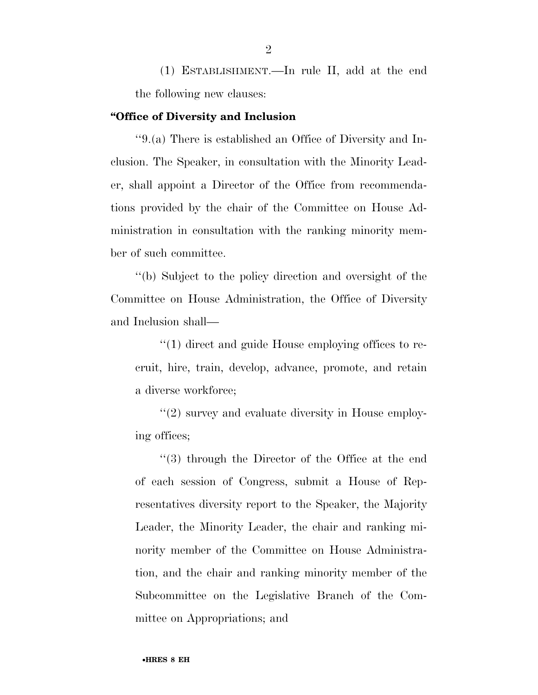(1) ESTABLISHMENT.—In rule II, add at the end the following new clauses:

#### **''Office of Diversity and Inclusion**

''9.(a) There is established an Office of Diversity and Inclusion. The Speaker, in consultation with the Minority Leader, shall appoint a Director of the Office from recommendations provided by the chair of the Committee on House Administration in consultation with the ranking minority member of such committee.

''(b) Subject to the policy direction and oversight of the Committee on House Administration, the Office of Diversity and Inclusion shall—

''(1) direct and guide House employing offices to recruit, hire, train, develop, advance, promote, and retain a diverse workforce;

''(2) survey and evaluate diversity in House employing offices;

''(3) through the Director of the Office at the end of each session of Congress, submit a House of Representatives diversity report to the Speaker, the Majority Leader, the Minority Leader, the chair and ranking minority member of the Committee on House Administration, and the chair and ranking minority member of the Subcommittee on the Legislative Branch of the Committee on Appropriations; and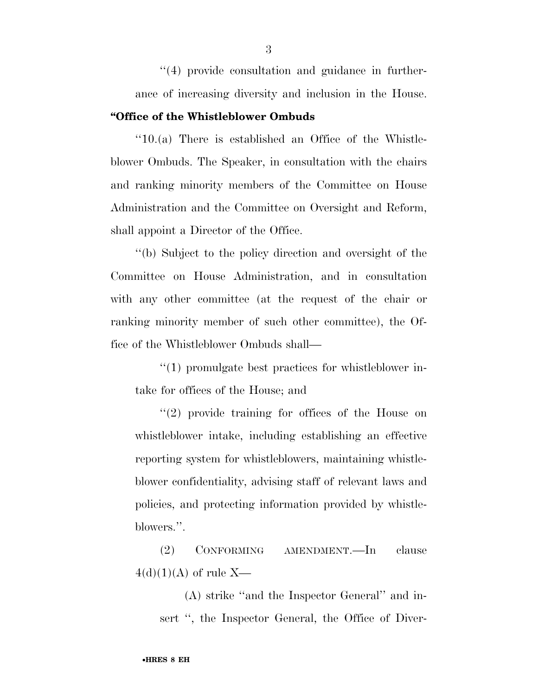''(4) provide consultation and guidance in furtherance of increasing diversity and inclusion in the House. **''Office of the Whistleblower Ombuds** 

''10.(a) There is established an Office of the Whistleblower Ombuds. The Speaker, in consultation with the chairs and ranking minority members of the Committee on House Administration and the Committee on Oversight and Reform, shall appoint a Director of the Office.

''(b) Subject to the policy direction and oversight of the Committee on House Administration, and in consultation with any other committee (at the request of the chair or ranking minority member of such other committee), the Office of the Whistleblower Ombuds shall—

''(1) promulgate best practices for whistleblower intake for offices of the House; and

''(2) provide training for offices of the House on whistleblower intake, including establishing an effective reporting system for whistleblowers, maintaining whistleblower confidentiality, advising staff of relevant laws and policies, and protecting information provided by whistleblowers.''.

(2) CONFORMING AMENDMENT.—In clause  $4(d)(1)(A)$  of rule X—

(A) strike ''and the Inspector General'' and insert ", the Inspector General, the Office of Diver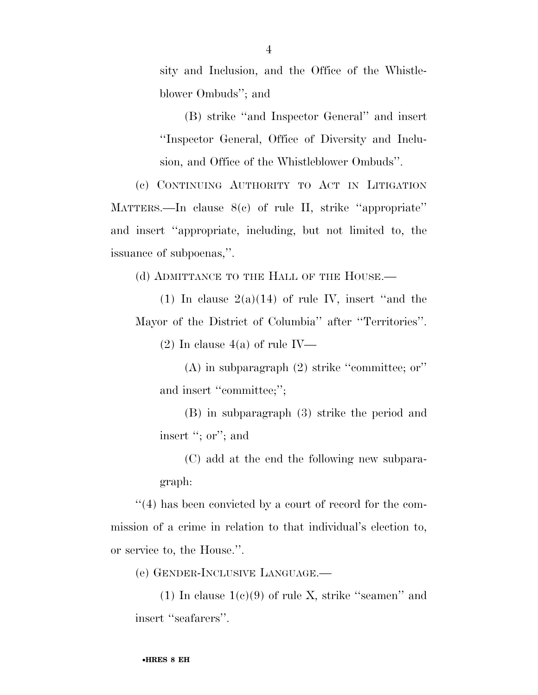sity and Inclusion, and the Office of the Whistleblower Ombuds''; and

(B) strike ''and Inspector General'' and insert ''Inspector General, Office of Diversity and Inclusion, and Office of the Whistleblower Ombuds''.

(c) CONTINUING AUTHORITY TO ACT IN LITIGATION MATTERS.—In clause 8(c) of rule II, strike ''appropriate'' and insert ''appropriate, including, but not limited to, the issuance of subpoenas,''.

(d) ADMITTANCE TO THE HALL OF THE HOUSE.—

(1) In clause  $2(a)(14)$  of rule IV, insert "and the Mayor of the District of Columbia'' after ''Territories''.

 $(2)$  In clause  $4(a)$  of rule IV—

(A) in subparagraph (2) strike ''committee; or'' and insert "committee;";

(B) in subparagraph (3) strike the period and insert "; or"; and

(C) add at the end the following new subparagraph:

 $''(4)$  has been convicted by a court of record for the commission of a crime in relation to that individual's election to, or service to, the House.''.

(e) GENDER-INCLUSIVE LANGUAGE.—

(1) In clause  $1(c)(9)$  of rule X, strike "seamen" and insert "seafarers".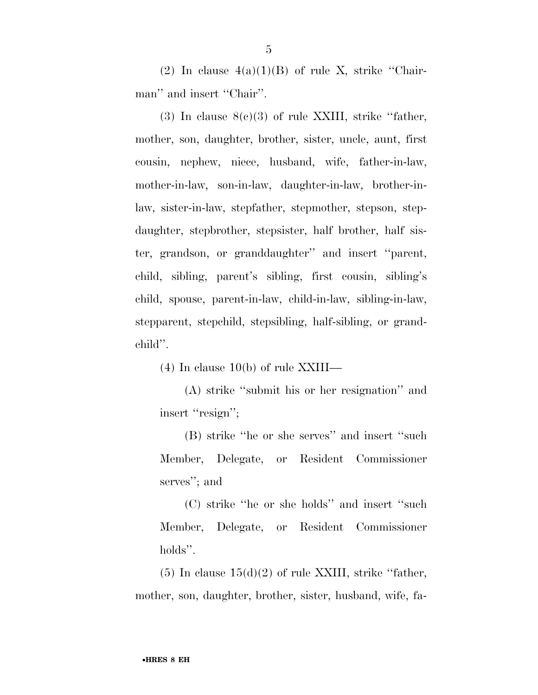(2) In clause  $4(a)(1)(B)$  of rule X, strike "Chairman'' and insert "Chair".

(3) In clause  $8(c)(3)$  of rule XXIII, strike "father, mother, son, daughter, brother, sister, uncle, aunt, first cousin, nephew, niece, husband, wife, father-in-law, mother-in-law, son-in-law, daughter-in-law, brother-inlaw, sister-in-law, stepfather, stepmother, stepson, stepdaughter, stepbrother, stepsister, half brother, half sister, grandson, or granddaughter'' and insert ''parent, child, sibling, parent's sibling, first cousin, sibling's child, spouse, parent-in-law, child-in-law, sibling-in-law, stepparent, stepchild, stepsibling, half-sibling, or grandchild''.

(4) In clause 10(b) of rule XXIII—

(A) strike ''submit his or her resignation'' and insert "resign";

(B) strike ''he or she serves'' and insert ''such Member, Delegate, or Resident Commissioner serves''; and

(C) strike ''he or she holds'' and insert ''such Member, Delegate, or Resident Commissioner holds''.

 $(5)$  In clause  $15(d)(2)$  of rule XXIII, strike "father, mother, son, daughter, brother, sister, husband, wife, fa-

5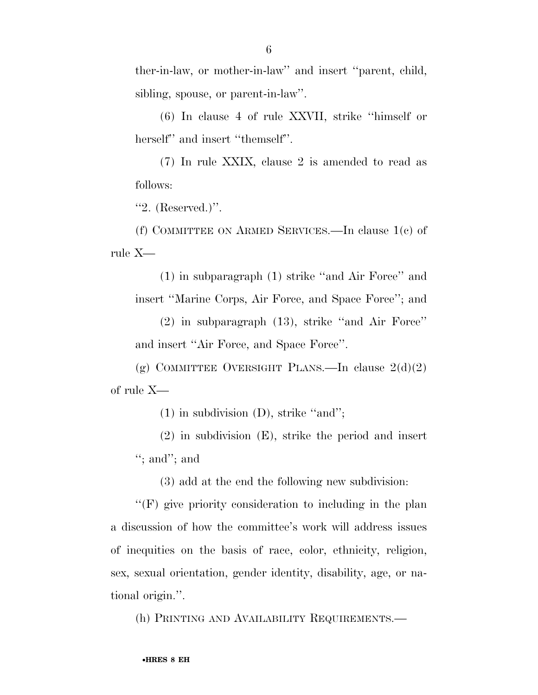ther-in-law, or mother-in-law'' and insert ''parent, child, sibling, spouse, or parent-in-law''.

(6) In clause 4 of rule XXVII, strike ''himself or herself" and insert "themself".

(7) In rule XXIX, clause 2 is amended to read as follows:

''2. (Reserved.)''.

(f) COMMITTEE ON ARMED SERVICES.—In clause 1(c) of rule X—

(1) in subparagraph (1) strike ''and Air Force'' and insert ''Marine Corps, Air Force, and Space Force''; and

(2) in subparagraph (13), strike ''and Air Force'' and insert ''Air Force, and Space Force''.

(g) COMMITTEE OVERSIGHT PLANS.—In clause  $2(d)(2)$ of rule X—

(1) in subdivision (D), strike ''and'';

(2) in subdivision (E), strike the period and insert ''; and''; and

(3) add at the end the following new subdivision:

''(F) give priority consideration to including in the plan a discussion of how the committee's work will address issues of inequities on the basis of race, color, ethnicity, religion, sex, sexual orientation, gender identity, disability, age, or national origin.''.

(h) PRINTING AND AVAILABILITY REQUIREMENTS.—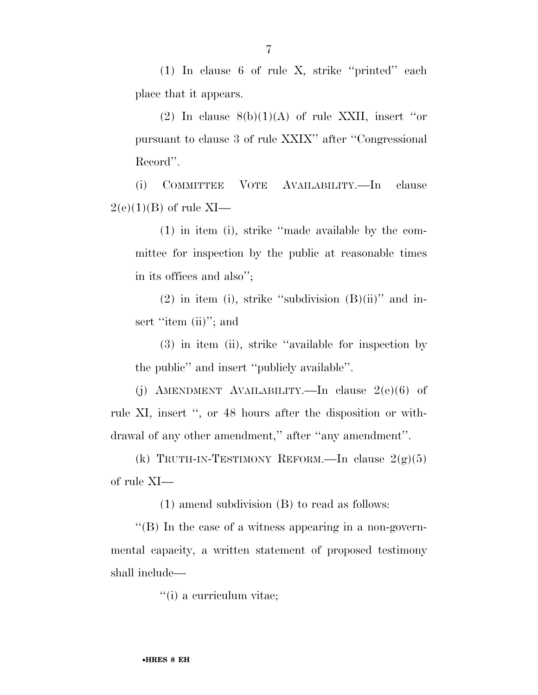(1) In clause 6 of rule X, strike ''printed'' each place that it appears.

(2) In clause  $8(b)(1)(A)$  of rule XXII, insert "or pursuant to clause 3 of rule XXIX'' after ''Congressional Record''.

(i) COMMITTEE VOTE AVAILABILITY.—In clause  $2(e)(1)(B)$  of rule XI—

(1) in item (i), strike ''made available by the committee for inspection by the public at reasonable times in its offices and also'';

 $(2)$  in item (i), strike "subdivision  $(B)(ii)$ " and insert "item (ii)"; and

(3) in item (ii), strike ''available for inspection by the public'' and insert ''publicly available''.

(j) AMENDMENT AVAILABILITY.—In clause  $2(e)(6)$  of rule XI, insert '', or 48 hours after the disposition or withdrawal of any other amendment,'' after ''any amendment''.

(k) TRUTH-IN-TESTIMONY REFORM.—In clause  $2(g)(5)$ of rule XI—

(1) amend subdivision (B) to read as follows:

''(B) In the case of a witness appearing in a non-governmental capacity, a written statement of proposed testimony shall include—

''(i) a curriculum vitae;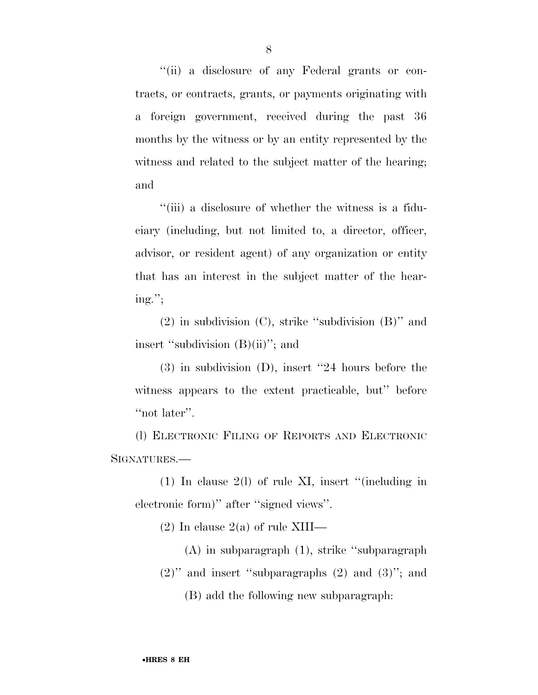''(ii) a disclosure of any Federal grants or contracts, or contracts, grants, or payments originating with a foreign government, received during the past 36 months by the witness or by an entity represented by the witness and related to the subject matter of the hearing; and

''(iii) a disclosure of whether the witness is a fiduciary (including, but not limited to, a director, officer, advisor, or resident agent) of any organization or entity that has an interest in the subject matter of the hearing.'';

(2) in subdivision (C), strike ''subdivision (B)'' and insert "subdivision (B)(ii)"; and

(3) in subdivision (D), insert ''24 hours before the witness appears to the extent practicable, but'' before "not later".

(l) ELECTRONIC FILING OF REPORTS AND ELECTRONIC SIGNATURES.—

(1) In clause 2(l) of rule XI, insert ''(including in electronic form)'' after ''signed views''.

 $(2)$  In clause  $2(a)$  of rule XIII—

(A) in subparagraph (1), strike ''subparagraph  $(2)$ " and insert "subparagraphs  $(2)$  and  $(3)$ "; and (B) add the following new subparagraph: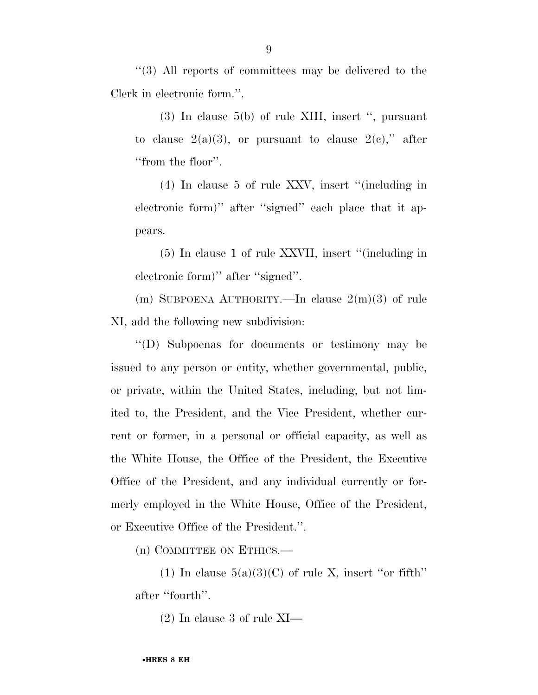''(3) All reports of committees may be delivered to the Clerk in electronic form.''.

(3) In clause 5(b) of rule XIII, insert '', pursuant to clause  $2(a)(3)$ , or pursuant to clause  $2(e)$ ," after ''from the floor''.

(4) In clause 5 of rule XXV, insert ''(including in electronic form)'' after ''signed'' each place that it appears.

(5) In clause 1 of rule XXVII, insert ''(including in electronic form)'' after ''signed''.

(m) SUBPOENA AUTHORITY.—In clause  $2(m)(3)$  of rule XI, add the following new subdivision:

''(D) Subpoenas for documents or testimony may be issued to any person or entity, whether governmental, public, or private, within the United States, including, but not limited to, the President, and the Vice President, whether current or former, in a personal or official capacity, as well as the White House, the Office of the President, the Executive Office of the President, and any individual currently or formerly employed in the White House, Office of the President, or Executive Office of the President.''.

(n) COMMITTEE ON ETHICS.—

(1) In clause  $5(a)(3)(C)$  of rule X, insert "or fifth" after ''fourth''.

(2) In clause 3 of rule XI—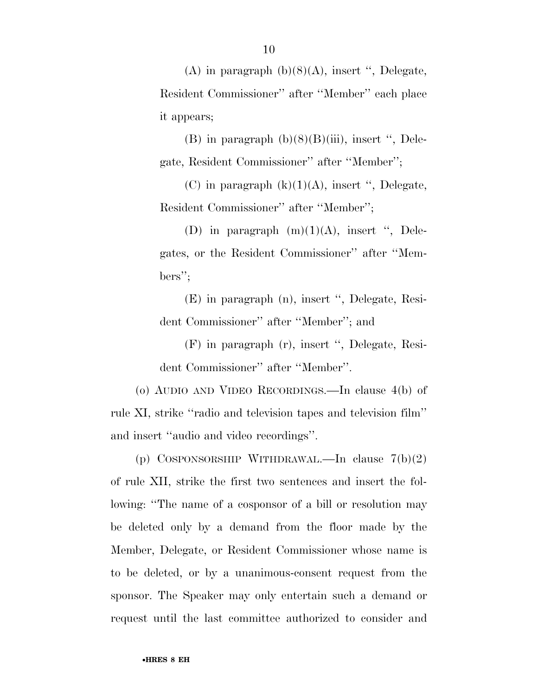(A) in paragraph  $(b)(8)(A)$ , insert ", Delegate, Resident Commissioner'' after ''Member'' each place it appears;

(B) in paragraph  $(b)(8)(B)(iii)$ , insert ", Delegate, Resident Commissioner'' after ''Member'';

(C) in paragraph  $(k)(1)(A)$ , insert ", Delegate, Resident Commissioner'' after ''Member'';

(D) in paragraph  $(m)(1)(A)$ , insert ", Delegates, or the Resident Commissioner'' after ''Members'';

(E) in paragraph (n), insert '', Delegate, Resident Commissioner'' after ''Member''; and

(F) in paragraph (r), insert '', Delegate, Resident Commissioner'' after ''Member''.

(o) AUDIO AND VIDEO RECORDINGS.—In clause 4(b) of rule XI, strike ''radio and television tapes and television film'' and insert ''audio and video recordings''.

(p) COSPONSORSHIP WITHDRAWAL.—In clause 7(b)(2) of rule XII, strike the first two sentences and insert the following: ''The name of a cosponsor of a bill or resolution may be deleted only by a demand from the floor made by the Member, Delegate, or Resident Commissioner whose name is to be deleted, or by a unanimous-consent request from the sponsor. The Speaker may only entertain such a demand or request until the last committee authorized to consider and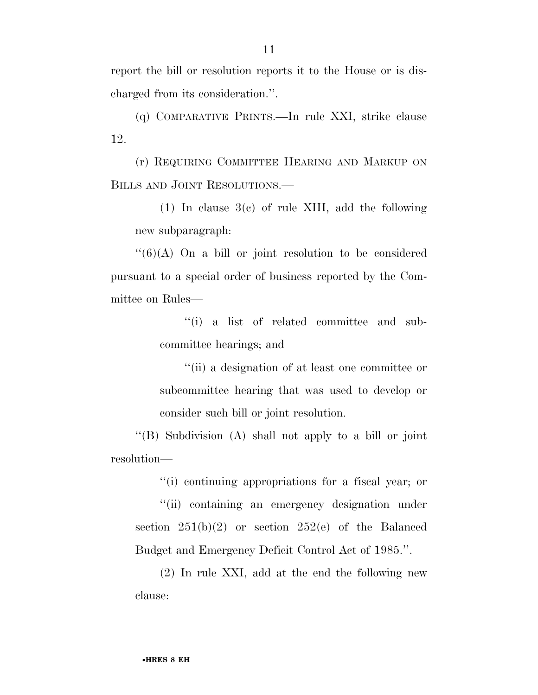report the bill or resolution reports it to the House or is discharged from its consideration.''.

(q) COMPARATIVE PRINTS.—In rule XXI, strike clause 12.

(r) REQUIRING COMMITTEE HEARING AND MARKUP ON BILLS AND JOINT RESOLUTIONS.—

(1) In clause 3(c) of rule XIII, add the following new subparagraph:

 $\lq(6)(A)$  On a bill or joint resolution to be considered pursuant to a special order of business reported by the Committee on Rules—

> ''(i) a list of related committee and subcommittee hearings; and

> ''(ii) a designation of at least one committee or subcommittee hearing that was used to develop or consider such bill or joint resolution.

''(B) Subdivision (A) shall not apply to a bill or joint resolution—

''(i) continuing appropriations for a fiscal year; or

''(ii) containing an emergency designation under section  $251(b)(2)$  or section  $252(e)$  of the Balanced Budget and Emergency Deficit Control Act of 1985.''.

(2) In rule XXI, add at the end the following new clause: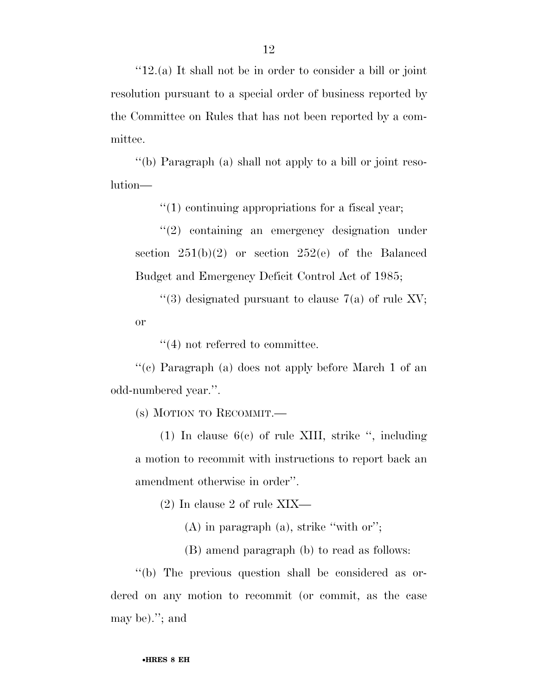''12.(a) It shall not be in order to consider a bill or joint resolution pursuant to a special order of business reported by the Committee on Rules that has not been reported by a committee.

''(b) Paragraph (a) shall not apply to a bill or joint resolution—

 $''(1)$  continuing appropriations for a fiscal year;

''(2) containing an emergency designation under section  $251(b)(2)$  or section  $252(e)$  of the Balanced Budget and Emergency Deficit Control Act of 1985;

 $\cdot$ (3) designated pursuant to clause 7(a) of rule XV; or

 $(4)$  not referred to committee.

''(c) Paragraph (a) does not apply before March 1 of an odd-numbered year.''.

(s) MOTION TO RECOMMIT.—

(1) In clause 6(c) of rule XIII, strike '', including a motion to recommit with instructions to report back an amendment otherwise in order''.

(2) In clause 2 of rule XIX—

(A) in paragraph (a), strike ''with or'';

(B) amend paragraph (b) to read as follows:

''(b) The previous question shall be considered as ordered on any motion to recommit (or commit, as the case may be).''; and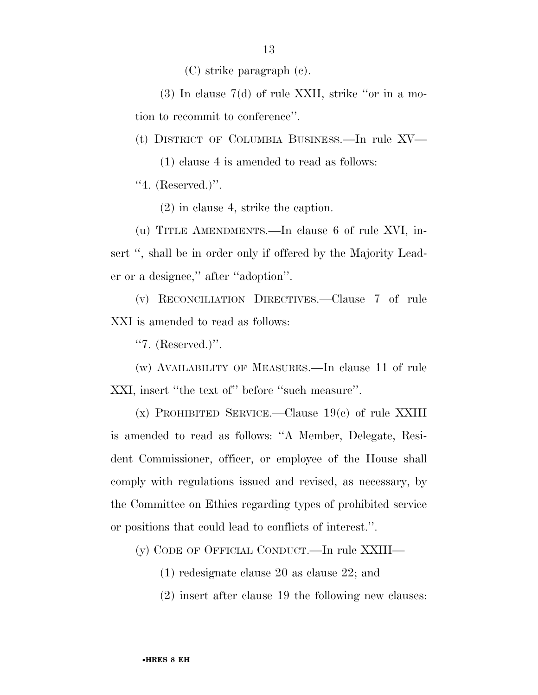(C) strike paragraph (c).

(3) In clause 7(d) of rule XXII, strike ''or in a motion to recommit to conference''.

(t) DISTRICT OF COLUMBIA BUSINESS.—In rule XV—

(1) clause 4 is amended to read as follows:

 $"4.$  (Reserved.)".

(2) in clause 4, strike the caption.

(u) TITLE AMENDMENTS.—In clause 6 of rule XVI, insert ", shall be in order only if offered by the Majority Leader or a designee,'' after ''adoption''.

(v) RECONCILIATION DIRECTIVES.—Clause 7 of rule XXI is amended to read as follows:

''7. (Reserved.)''.

(w) AVAILABILITY OF MEASURES.—In clause 11 of rule XXI, insert "the text of" before "such measure".

 $(x)$  PROHIBITED SERVICE.—Clause 19 $(e)$  of rule XXIII is amended to read as follows: ''A Member, Delegate, Resident Commissioner, officer, or employee of the House shall comply with regulations issued and revised, as necessary, by the Committee on Ethics regarding types of prohibited service or positions that could lead to conflicts of interest.''.

(y) CODE OF OFFICIAL CONDUCT.—In rule XXIII—

(1) redesignate clause 20 as clause 22; and

(2) insert after clause 19 the following new clauses: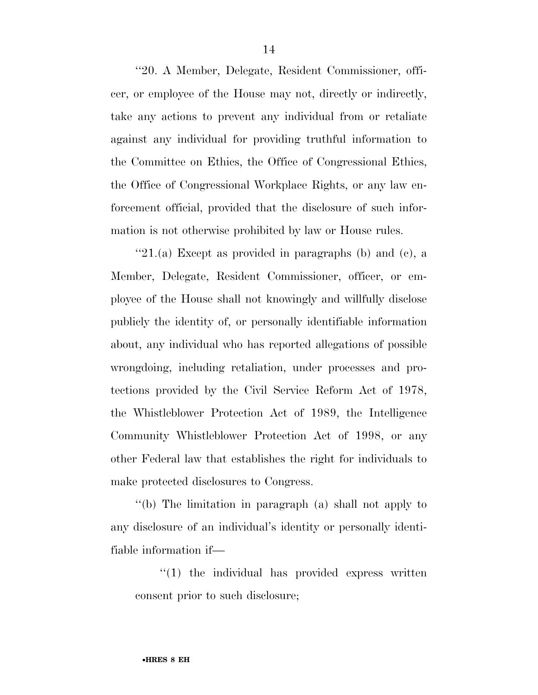''20. A Member, Delegate, Resident Commissioner, officer, or employee of the House may not, directly or indirectly, take any actions to prevent any individual from or retaliate against any individual for providing truthful information to the Committee on Ethics, the Office of Congressional Ethics, the Office of Congressional Workplace Rights, or any law enforcement official, provided that the disclosure of such information is not otherwise prohibited by law or House rules.

" $21(a)$  Except as provided in paragraphs (b) and (c), a Member, Delegate, Resident Commissioner, officer, or employee of the House shall not knowingly and willfully disclose publicly the identity of, or personally identifiable information about, any individual who has reported allegations of possible wrongdoing, including retaliation, under processes and protections provided by the Civil Service Reform Act of 1978, the Whistleblower Protection Act of 1989, the Intelligence Community Whistleblower Protection Act of 1998, or any other Federal law that establishes the right for individuals to make protected disclosures to Congress.

''(b) The limitation in paragraph (a) shall not apply to any disclosure of an individual's identity or personally identifiable information if—

''(1) the individual has provided express written consent prior to such disclosure;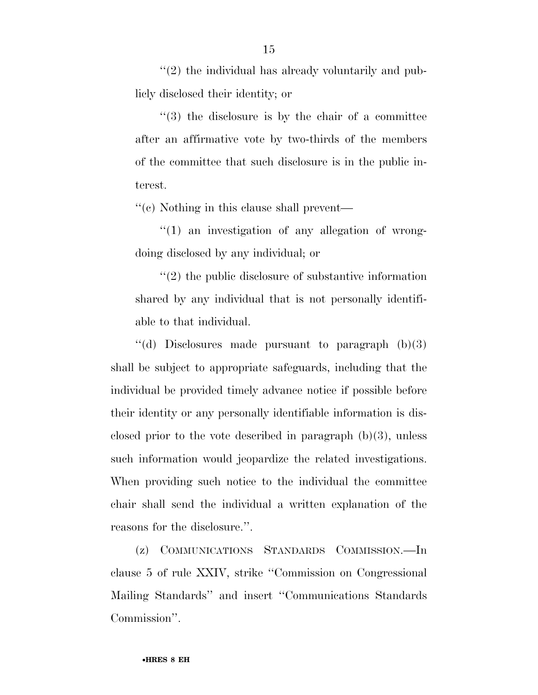$''(2)$  the individual has already voluntarily and publicly disclosed their identity; or

''(3) the disclosure is by the chair of a committee after an affirmative vote by two-thirds of the members of the committee that such disclosure is in the public interest.

''(c) Nothing in this clause shall prevent—

 $''(1)$  an investigation of any allegation of wrongdoing disclosed by any individual; or

''(2) the public disclosure of substantive information shared by any individual that is not personally identifiable to that individual.

 $\cdot$ (d) Disclosures made pursuant to paragraph (b)(3) shall be subject to appropriate safeguards, including that the individual be provided timely advance notice if possible before their identity or any personally identifiable information is disclosed prior to the vote described in paragraph  $(b)(3)$ , unless such information would jeopardize the related investigations. When providing such notice to the individual the committee chair shall send the individual a written explanation of the reasons for the disclosure.''.

(z) COMMUNICATIONS STANDARDS COMMISSION.—In clause 5 of rule XXIV, strike ''Commission on Congressional Mailing Standards'' and insert ''Communications Standards Commission''.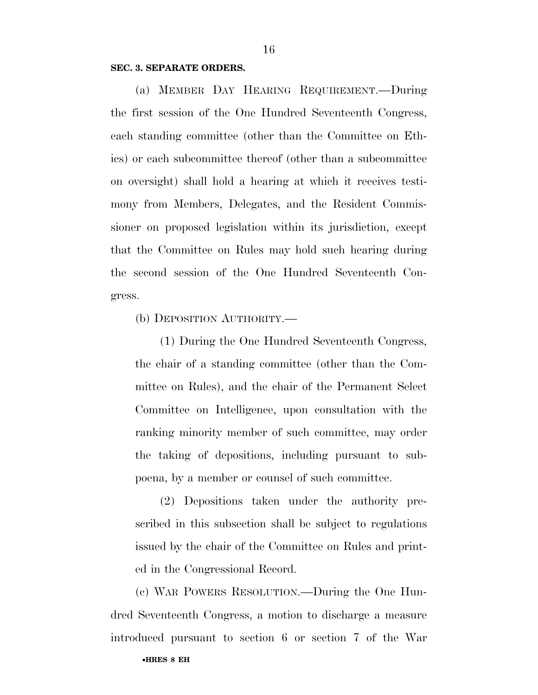#### **SEC. 3. SEPARATE ORDERS.**

(a) MEMBER DAY HEARING REQUIREMENT.—During the first session of the One Hundred Seventeenth Congress, each standing committee (other than the Committee on Ethics) or each subcommittee thereof (other than a subcommittee on oversight) shall hold a hearing at which it receives testimony from Members, Delegates, and the Resident Commissioner on proposed legislation within its jurisdiction, except that the Committee on Rules may hold such hearing during the second session of the One Hundred Seventeenth Congress.

(b) DEPOSITION AUTHORITY.—

(1) During the One Hundred Seventeenth Congress, the chair of a standing committee (other than the Committee on Rules), and the chair of the Permanent Select Committee on Intelligence, upon consultation with the ranking minority member of such committee, may order the taking of depositions, including pursuant to subpoena, by a member or counsel of such committee.

(2) Depositions taken under the authority prescribed in this subsection shall be subject to regulations issued by the chair of the Committee on Rules and printed in the Congressional Record.

(c) WAR POWERS RESOLUTION.—During the One Hundred Seventeenth Congress, a motion to discharge a measure introduced pursuant to section 6 or section 7 of the War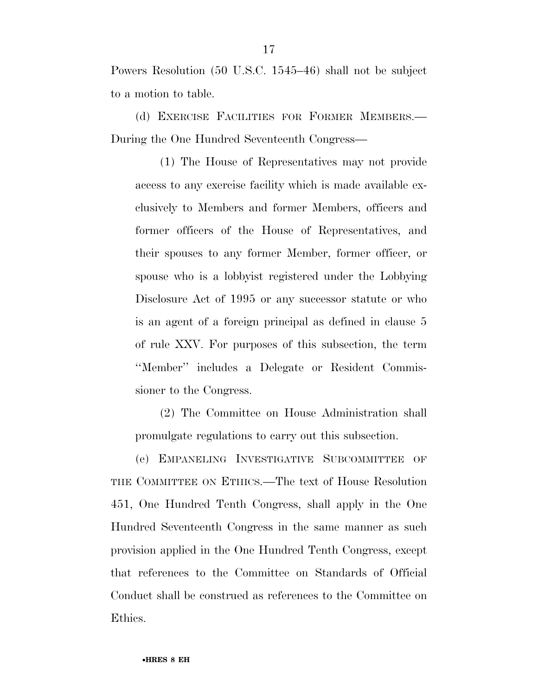Powers Resolution (50 U.S.C. 1545–46) shall not be subject to a motion to table.

(d) EXERCISE FACILITIES FOR FORMER MEMBERS.— During the One Hundred Seventeenth Congress—

(1) The House of Representatives may not provide access to any exercise facility which is made available exclusively to Members and former Members, officers and former officers of the House of Representatives, and their spouses to any former Member, former officer, or spouse who is a lobbyist registered under the Lobbying Disclosure Act of 1995 or any successor statute or who is an agent of a foreign principal as defined in clause 5 of rule XXV. For purposes of this subsection, the term ''Member'' includes a Delegate or Resident Commissioner to the Congress.

(2) The Committee on House Administration shall promulgate regulations to carry out this subsection.

(e) EMPANELING INVESTIGATIVE SUBCOMMITTEE OF THE COMMITTEE ON ETHICS.—The text of House Resolution 451, One Hundred Tenth Congress, shall apply in the One Hundred Seventeenth Congress in the same manner as such provision applied in the One Hundred Tenth Congress, except that references to the Committee on Standards of Official Conduct shall be construed as references to the Committee on Ethics.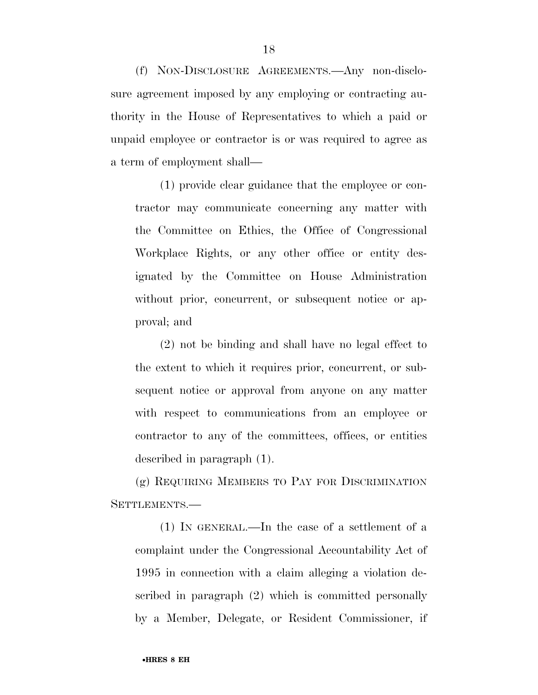(f) NON-DISCLOSURE AGREEMENTS.—Any non-disclosure agreement imposed by any employing or contracting authority in the House of Representatives to which a paid or unpaid employee or contractor is or was required to agree as a term of employment shall—

(1) provide clear guidance that the employee or contractor may communicate concerning any matter with the Committee on Ethics, the Office of Congressional Workplace Rights, or any other office or entity designated by the Committee on House Administration without prior, concurrent, or subsequent notice or approval; and

(2) not be binding and shall have no legal effect to the extent to which it requires prior, concurrent, or subsequent notice or approval from anyone on any matter with respect to communications from an employee or contractor to any of the committees, offices, or entities described in paragraph (1).

(g) REQUIRING MEMBERS TO PAY FOR DISCRIMINATION SETTLEMENTS.—

(1) IN GENERAL.—In the case of a settlement of a complaint under the Congressional Accountability Act of 1995 in connection with a claim alleging a violation described in paragraph (2) which is committed personally by a Member, Delegate, or Resident Commissioner, if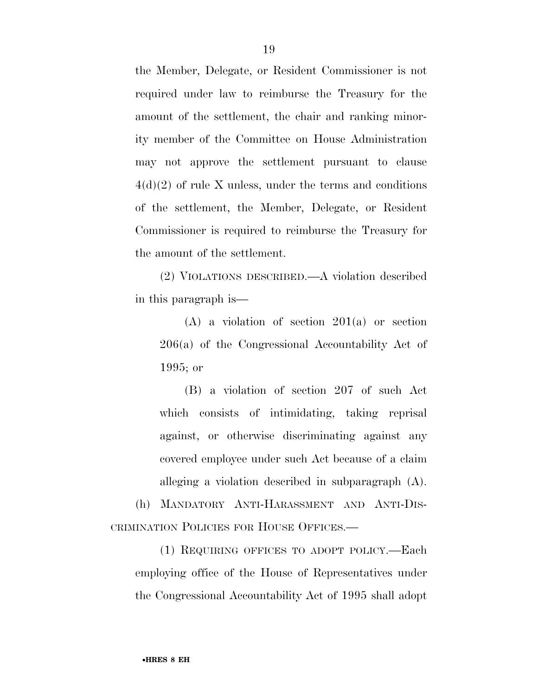the Member, Delegate, or Resident Commissioner is not required under law to reimburse the Treasury for the amount of the settlement, the chair and ranking minority member of the Committee on House Administration may not approve the settlement pursuant to clause  $4(d)(2)$  of rule X unless, under the terms and conditions of the settlement, the Member, Delegate, or Resident Commissioner is required to reimburse the Treasury for the amount of the settlement.

(2) VIOLATIONS DESCRIBED.—A violation described in this paragraph is—

(A) a violation of section 201(a) or section 206(a) of the Congressional Accountability Act of 1995; or

(B) a violation of section 207 of such Act which consists of intimidating, taking reprisal against, or otherwise discriminating against any covered employee under such Act because of a claim alleging a violation described in subparagraph (A).

(h) MANDATORY ANTI-HARASSMENT AND ANTI-DIS-CRIMINATION POLICIES FOR HOUSE OFFICES.—

(1) REQUIRING OFFICES TO ADOPT POLICY.—Each employing office of the House of Representatives under the Congressional Accountability Act of 1995 shall adopt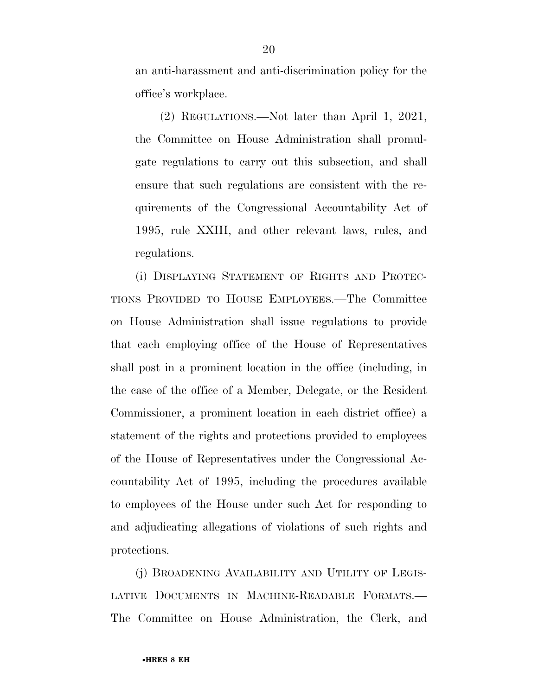an anti-harassment and anti-discrimination policy for the office's workplace.

(2) REGULATIONS.—Not later than April 1, 2021, the Committee on House Administration shall promulgate regulations to carry out this subsection, and shall ensure that such regulations are consistent with the requirements of the Congressional Accountability Act of 1995, rule XXIII, and other relevant laws, rules, and regulations.

(i) DISPLAYING STATEMENT OF RIGHTS AND PROTEC-TIONS PROVIDED TO HOUSE EMPLOYEES.—The Committee on House Administration shall issue regulations to provide that each employing office of the House of Representatives shall post in a prominent location in the office (including, in the case of the office of a Member, Delegate, or the Resident Commissioner, a prominent location in each district office) a statement of the rights and protections provided to employees of the House of Representatives under the Congressional Accountability Act of 1995, including the procedures available to employees of the House under such Act for responding to and adjudicating allegations of violations of such rights and protections.

(j) BROADENING AVAILABILITY AND UTILITY OF LEGIS-LATIVE DOCUMENTS IN MACHINE-READABLE FORMATS.— The Committee on House Administration, the Clerk, and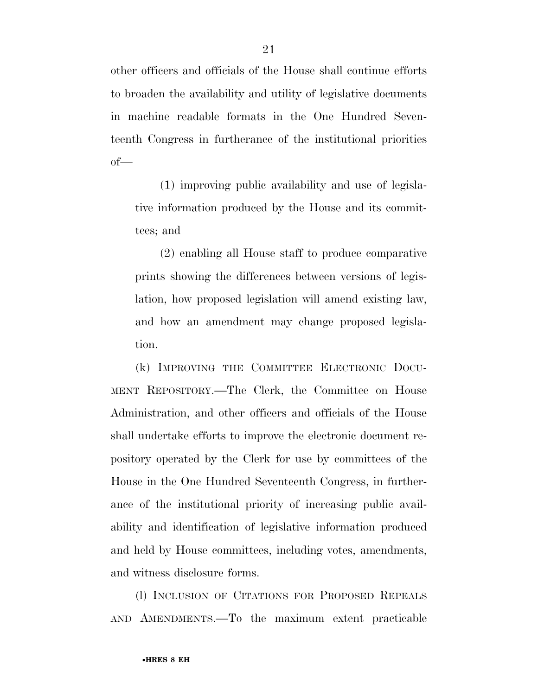other officers and officials of the House shall continue efforts to broaden the availability and utility of legislative documents in machine readable formats in the One Hundred Seventeenth Congress in furtherance of the institutional priorities of—

(1) improving public availability and use of legislative information produced by the House and its committees; and

(2) enabling all House staff to produce comparative prints showing the differences between versions of legislation, how proposed legislation will amend existing law, and how an amendment may change proposed legislation.

(k) IMPROVING THE COMMITTEE ELECTRONIC DOCU-MENT REPOSITORY.—The Clerk, the Committee on House Administration, and other officers and officials of the House shall undertake efforts to improve the electronic document repository operated by the Clerk for use by committees of the House in the One Hundred Seventeenth Congress, in furtherance of the institutional priority of increasing public availability and identification of legislative information produced and held by House committees, including votes, amendments, and witness disclosure forms.

(l) INCLUSION OF CITATIONS FOR PROPOSED REPEALS AND AMENDMENTS.—To the maximum extent practicable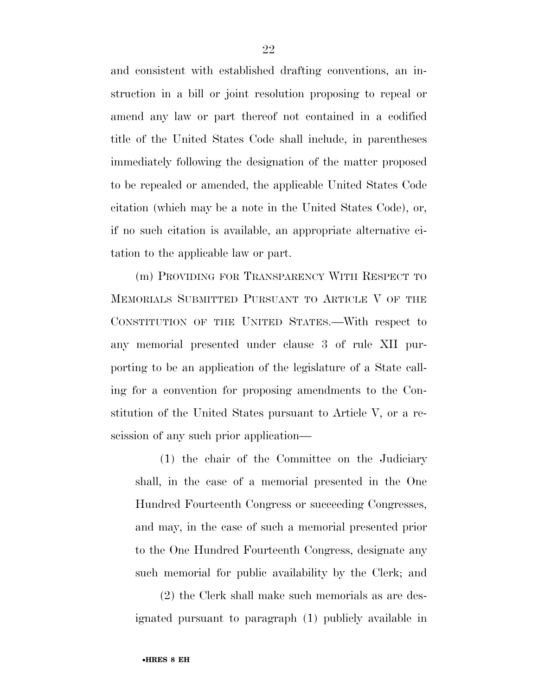and consistent with established drafting conventions, an instruction in a bill or joint resolution proposing to repeal or amend any law or part thereof not contained in a codified title of the United States Code shall include, in parentheses immediately following the designation of the matter proposed to be repealed or amended, the applicable United States Code citation (which may be a note in the United States Code), or, if no such citation is available, an appropriate alternative citation to the applicable law or part.

(m) PROVIDING FOR TRANSPARENCY WITH RESPECT TO MEMORIALS SUBMITTED PURSUANT TO ARTICLE V OF THE CONSTITUTION OF THE UNITED STATES.—With respect to any memorial presented under clause 3 of rule XII purporting to be an application of the legislature of a State calling for a convention for proposing amendments to the Constitution of the United States pursuant to Article V, or a rescission of any such prior application—

(1) the chair of the Committee on the Judiciary shall, in the case of a memorial presented in the One Hundred Fourteenth Congress or succeeding Congresses, and may, in the case of such a memorial presented prior to the One Hundred Fourteenth Congress, designate any such memorial for public availability by the Clerk; and

(2) the Clerk shall make such memorials as are designated pursuant to paragraph (1) publicly available in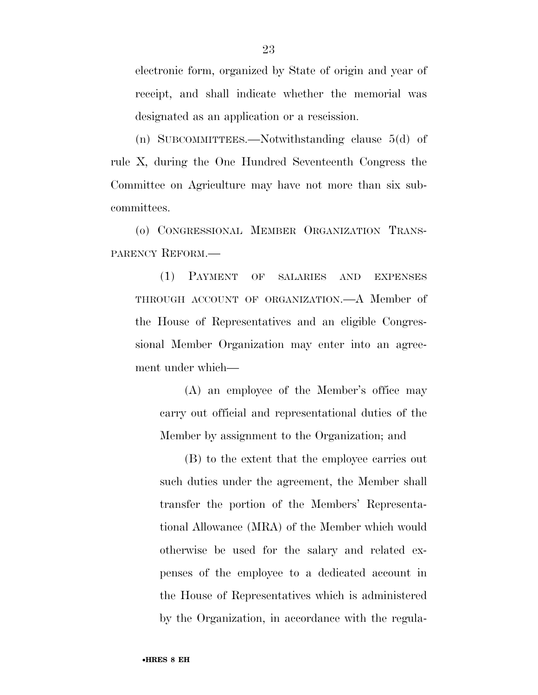electronic form, organized by State of origin and year of receipt, and shall indicate whether the memorial was designated as an application or a rescission.

(n) SUBCOMMITTEES.—Notwithstanding clause 5(d) of rule X, during the One Hundred Seventeenth Congress the Committee on Agriculture may have not more than six subcommittees.

(o) CONGRESSIONAL MEMBER ORGANIZATION TRANS-PARENCY REFORM.—

(1) PAYMENT OF SALARIES AND EXPENSES THROUGH ACCOUNT OF ORGANIZATION.—A Member of the House of Representatives and an eligible Congressional Member Organization may enter into an agreement under which—

(A) an employee of the Member's office may carry out official and representational duties of the Member by assignment to the Organization; and

(B) to the extent that the employee carries out such duties under the agreement, the Member shall transfer the portion of the Members' Representational Allowance (MRA) of the Member which would otherwise be used for the salary and related expenses of the employee to a dedicated account in the House of Representatives which is administered by the Organization, in accordance with the regula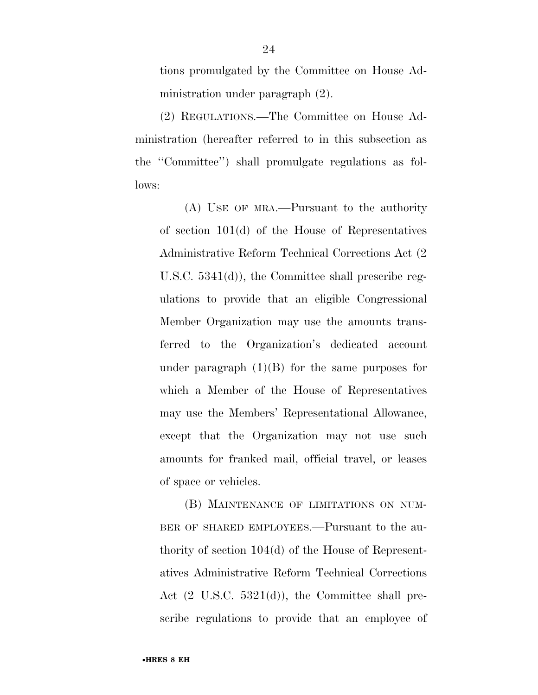tions promulgated by the Committee on House Administration under paragraph (2).

(2) REGULATIONS.—The Committee on House Administration (hereafter referred to in this subsection as the ''Committee'') shall promulgate regulations as follows:

(A) USE OF MRA.—Pursuant to the authority of section 101(d) of the House of Representatives Administrative Reform Technical Corrections Act (2 U.S.C. 5341(d)), the Committee shall prescribe regulations to provide that an eligible Congressional Member Organization may use the amounts transferred to the Organization's dedicated account under paragraph  $(1)(B)$  for the same purposes for which a Member of the House of Representatives may use the Members' Representational Allowance, except that the Organization may not use such amounts for franked mail, official travel, or leases of space or vehicles.

(B) MAINTENANCE OF LIMITATIONS ON NUM-BER OF SHARED EMPLOYEES.—Pursuant to the authority of section 104(d) of the House of Representatives Administrative Reform Technical Corrections Act (2 U.S.C. 5321(d)), the Committee shall prescribe regulations to provide that an employee of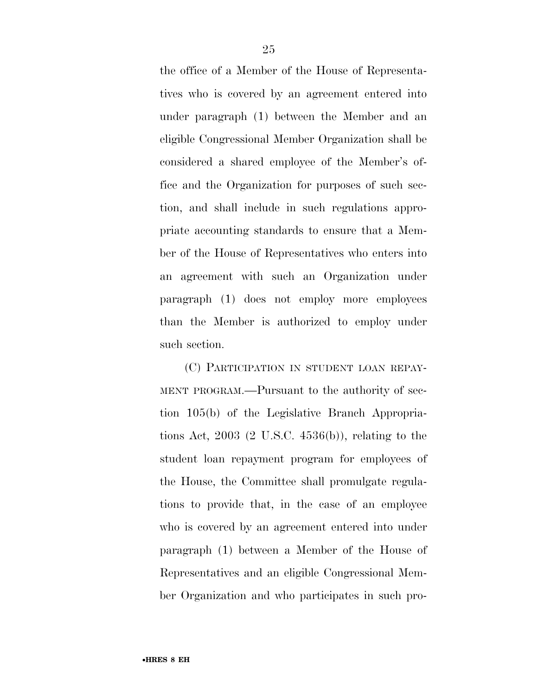the office of a Member of the House of Representatives who is covered by an agreement entered into under paragraph (1) between the Member and an eligible Congressional Member Organization shall be considered a shared employee of the Member's office and the Organization for purposes of such section, and shall include in such regulations appropriate accounting standards to ensure that a Member of the House of Representatives who enters into an agreement with such an Organization under paragraph (1) does not employ more employees than the Member is authorized to employ under such section.

(C) PARTICIPATION IN STUDENT LOAN REPAY-MENT PROGRAM.—Pursuant to the authority of section 105(b) of the Legislative Branch Appropriations Act, 2003 (2 U.S.C. 4536(b)), relating to the student loan repayment program for employees of the House, the Committee shall promulgate regulations to provide that, in the case of an employee who is covered by an agreement entered into under paragraph (1) between a Member of the House of Representatives and an eligible Congressional Member Organization and who participates in such pro-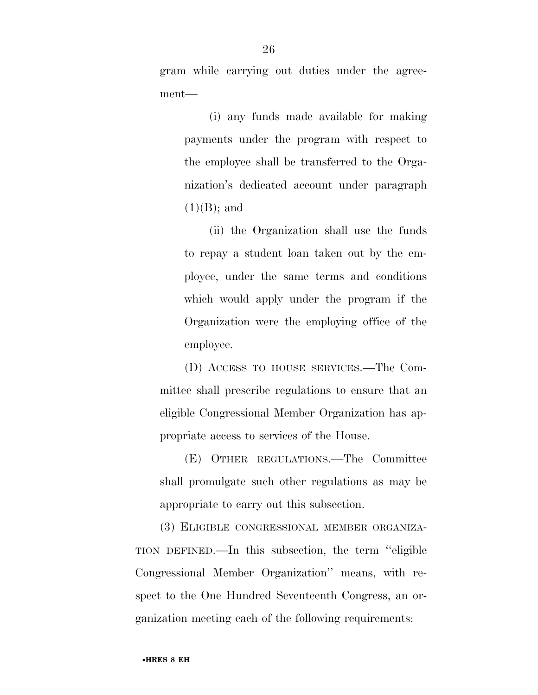gram while carrying out duties under the agreement—

(i) any funds made available for making payments under the program with respect to the employee shall be transferred to the Organization's dedicated account under paragraph  $(1)(B)$ ; and

(ii) the Organization shall use the funds to repay a student loan taken out by the employee, under the same terms and conditions which would apply under the program if the Organization were the employing office of the employee.

(D) ACCESS TO HOUSE SERVICES.—The Committee shall prescribe regulations to ensure that an eligible Congressional Member Organization has appropriate access to services of the House.

(E) OTHER REGULATIONS.—The Committee shall promulgate such other regulations as may be appropriate to carry out this subsection.

(3) ELIGIBLE CONGRESSIONAL MEMBER ORGANIZA-TION DEFINED.—In this subsection, the term ''eligible Congressional Member Organization'' means, with respect to the One Hundred Seventeenth Congress, an organization meeting each of the following requirements: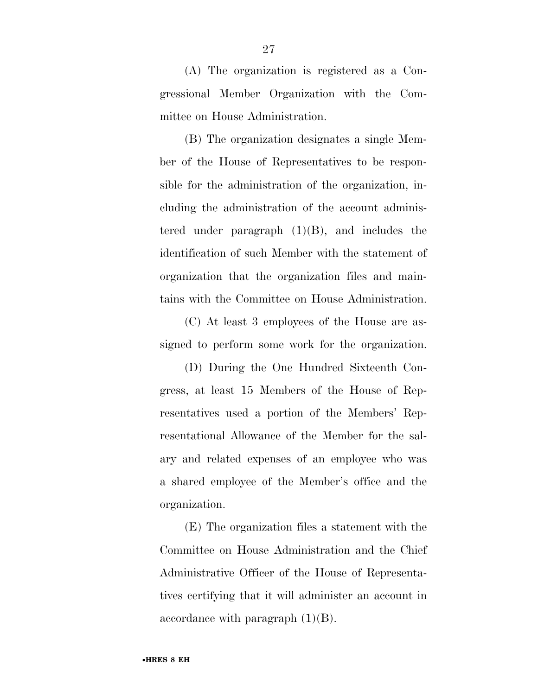(A) The organization is registered as a Congressional Member Organization with the Committee on House Administration.

(B) The organization designates a single Member of the House of Representatives to be responsible for the administration of the organization, including the administration of the account administered under paragraph  $(1)(B)$ , and includes the identification of such Member with the statement of organization that the organization files and maintains with the Committee on House Administration.

(C) At least 3 employees of the House are assigned to perform some work for the organization.

(D) During the One Hundred Sixteenth Congress, at least 15 Members of the House of Representatives used a portion of the Members' Representational Allowance of the Member for the salary and related expenses of an employee who was a shared employee of the Member's office and the organization.

(E) The organization files a statement with the Committee on House Administration and the Chief Administrative Officer of the House of Representatives certifying that it will administer an account in accordance with paragraph  $(1)(B)$ .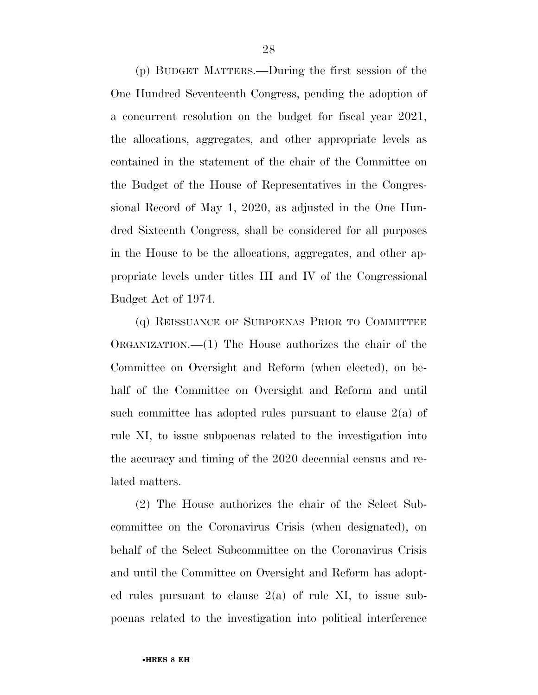(p) BUDGET MATTERS.—During the first session of the One Hundred Seventeenth Congress, pending the adoption of a concurrent resolution on the budget for fiscal year 2021, the allocations, aggregates, and other appropriate levels as contained in the statement of the chair of the Committee on the Budget of the House of Representatives in the Congressional Record of May 1, 2020, as adjusted in the One Hundred Sixteenth Congress, shall be considered for all purposes in the House to be the allocations, aggregates, and other appropriate levels under titles III and IV of the Congressional Budget Act of 1974.

(q) REISSUANCE OF SUBPOENAS PRIOR TO COMMITTEE ORGANIZATION.—(1) The House authorizes the chair of the Committee on Oversight and Reform (when elected), on behalf of the Committee on Oversight and Reform and until such committee has adopted rules pursuant to clause 2(a) of rule XI, to issue subpoenas related to the investigation into the accuracy and timing of the 2020 decennial census and related matters.

(2) The House authorizes the chair of the Select Subcommittee on the Coronavirus Crisis (when designated), on behalf of the Select Subcommittee on the Coronavirus Crisis and until the Committee on Oversight and Reform has adopted rules pursuant to clause  $2(a)$  of rule XI, to issue subpoenas related to the investigation into political interference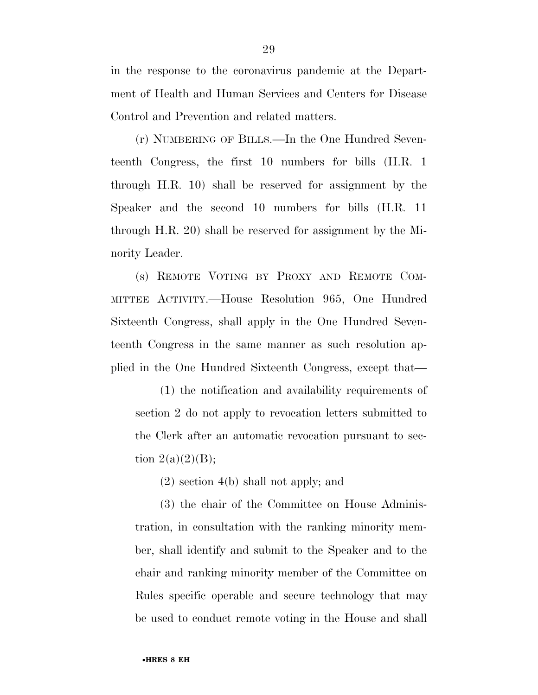in the response to the coronavirus pandemic at the Department of Health and Human Services and Centers for Disease Control and Prevention and related matters.

(r) NUMBERING OF BILLS.—In the One Hundred Seventeenth Congress, the first 10 numbers for bills (H.R. 1 through H.R. 10) shall be reserved for assignment by the Speaker and the second 10 numbers for bills (H.R. 11 through H.R. 20) shall be reserved for assignment by the Minority Leader.

(s) REMOTE VOTING BY PROXY AND REMOTE COM-MITTEE ACTIVITY.—House Resolution 965, One Hundred Sixteenth Congress, shall apply in the One Hundred Seventeenth Congress in the same manner as such resolution applied in the One Hundred Sixteenth Congress, except that—

(1) the notification and availability requirements of section 2 do not apply to revocation letters submitted to the Clerk after an automatic revocation pursuant to section  $2(a)(2)(B);$ 

(2) section 4(b) shall not apply; and

(3) the chair of the Committee on House Administration, in consultation with the ranking minority member, shall identify and submit to the Speaker and to the chair and ranking minority member of the Committee on Rules specific operable and secure technology that may be used to conduct remote voting in the House and shall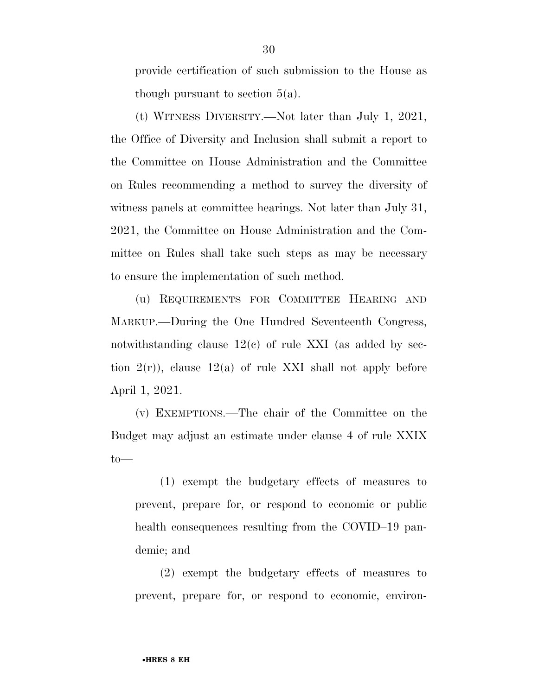provide certification of such submission to the House as though pursuant to section  $5(a)$ .

(t) WITNESS DIVERSITY.—Not later than July 1, 2021, the Office of Diversity and Inclusion shall submit a report to the Committee on House Administration and the Committee on Rules recommending a method to survey the diversity of witness panels at committee hearings. Not later than July 31, 2021, the Committee on House Administration and the Committee on Rules shall take such steps as may be necessary to ensure the implementation of such method.

(u) REQUIREMENTS FOR COMMITTEE HEARING AND MARKUP.—During the One Hundred Seventeenth Congress, notwithstanding clause  $12(e)$  of rule XXI (as added by section  $2(r)$ , clause  $12(a)$  of rule XXI shall not apply before April 1, 2021.

(v) EXEMPTIONS.—The chair of the Committee on the Budget may adjust an estimate under clause 4 of rule XXIX to—

(1) exempt the budgetary effects of measures to prevent, prepare for, or respond to economic or public health consequences resulting from the COVID–19 pandemic; and

(2) exempt the budgetary effects of measures to prevent, prepare for, or respond to economic, environ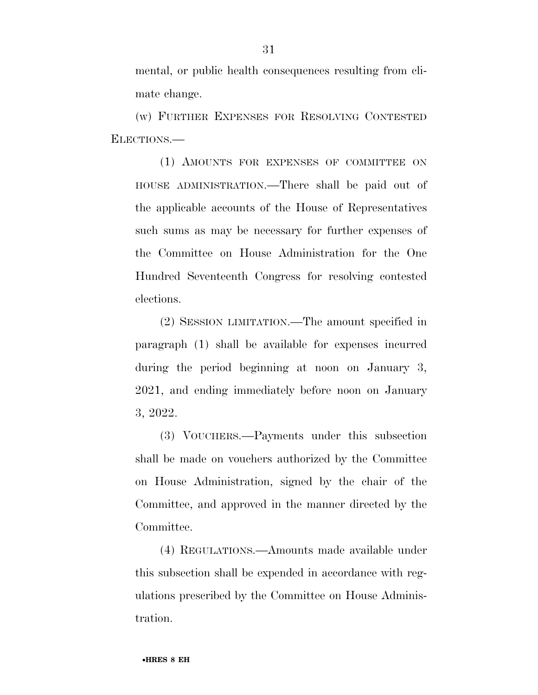mental, or public health consequences resulting from climate change.

(w) FURTHER EXPENSES FOR RESOLVING CONTESTED ELECTIONS.—

(1) AMOUNTS FOR EXPENSES OF COMMITTEE ON HOUSE ADMINISTRATION.—There shall be paid out of the applicable accounts of the House of Representatives such sums as may be necessary for further expenses of the Committee on House Administration for the One Hundred Seventeenth Congress for resolving contested elections.

(2) SESSION LIMITATION.—The amount specified in paragraph (1) shall be available for expenses incurred during the period beginning at noon on January 3, 2021, and ending immediately before noon on January 3, 2022.

(3) VOUCHERS.—Payments under this subsection shall be made on vouchers authorized by the Committee on House Administration, signed by the chair of the Committee, and approved in the manner directed by the Committee.

(4) REGULATIONS.—Amounts made available under this subsection shall be expended in accordance with regulations prescribed by the Committee on House Administration.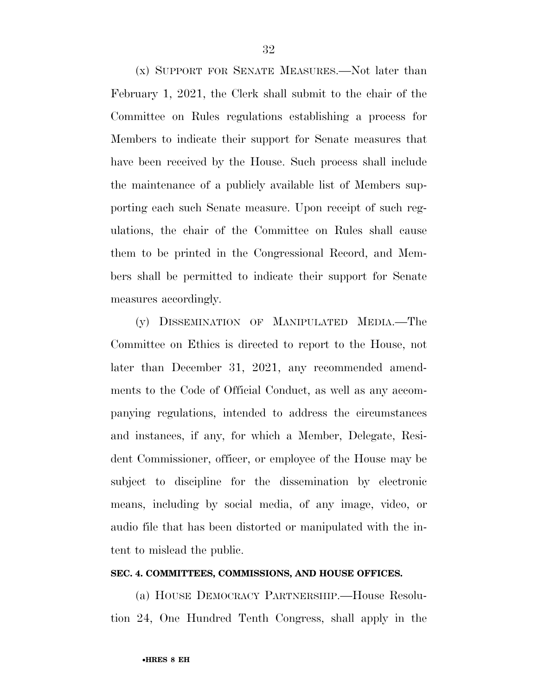(x) SUPPORT FOR SENATE MEASURES.—Not later than February 1, 2021, the Clerk shall submit to the chair of the Committee on Rules regulations establishing a process for Members to indicate their support for Senate measures that have been received by the House. Such process shall include the maintenance of a publicly available list of Members supporting each such Senate measure. Upon receipt of such regulations, the chair of the Committee on Rules shall cause them to be printed in the Congressional Record, and Members shall be permitted to indicate their support for Senate measures accordingly.

(y) DISSEMINATION OF MANIPULATED MEDIA.—The Committee on Ethics is directed to report to the House, not later than December 31, 2021, any recommended amendments to the Code of Official Conduct, as well as any accompanying regulations, intended to address the circumstances and instances, if any, for which a Member, Delegate, Resident Commissioner, officer, or employee of the House may be subject to discipline for the dissemination by electronic means, including by social media, of any image, video, or audio file that has been distorted or manipulated with the intent to mislead the public.

#### **SEC. 4. COMMITTEES, COMMISSIONS, AND HOUSE OFFICES.**

(a) HOUSE DEMOCRACY PARTNERSHIP.—House Resolution 24, One Hundred Tenth Congress, shall apply in the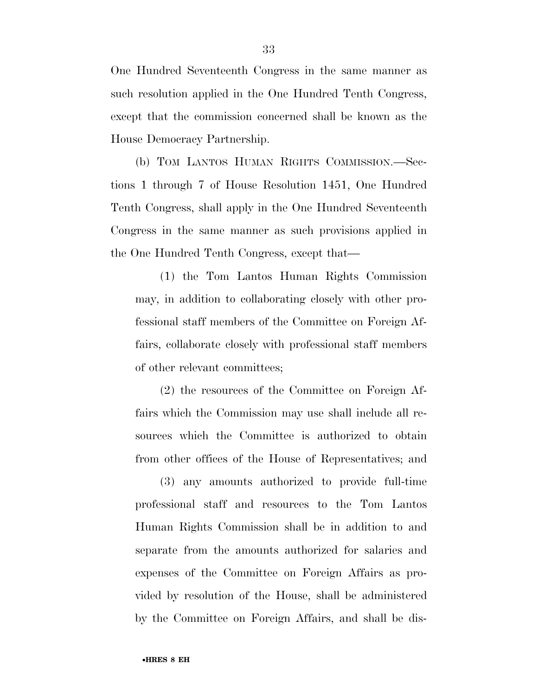One Hundred Seventeenth Congress in the same manner as such resolution applied in the One Hundred Tenth Congress, except that the commission concerned shall be known as the House Democracy Partnership.

(b) TOM LANTOS HUMAN RIGHTS COMMISSION.—Sections 1 through 7 of House Resolution 1451, One Hundred Tenth Congress, shall apply in the One Hundred Seventeenth Congress in the same manner as such provisions applied in the One Hundred Tenth Congress, except that—

(1) the Tom Lantos Human Rights Commission may, in addition to collaborating closely with other professional staff members of the Committee on Foreign Affairs, collaborate closely with professional staff members of other relevant committees;

(2) the resources of the Committee on Foreign Affairs which the Commission may use shall include all resources which the Committee is authorized to obtain from other offices of the House of Representatives; and

(3) any amounts authorized to provide full-time professional staff and resources to the Tom Lantos Human Rights Commission shall be in addition to and separate from the amounts authorized for salaries and expenses of the Committee on Foreign Affairs as provided by resolution of the House, shall be administered by the Committee on Foreign Affairs, and shall be dis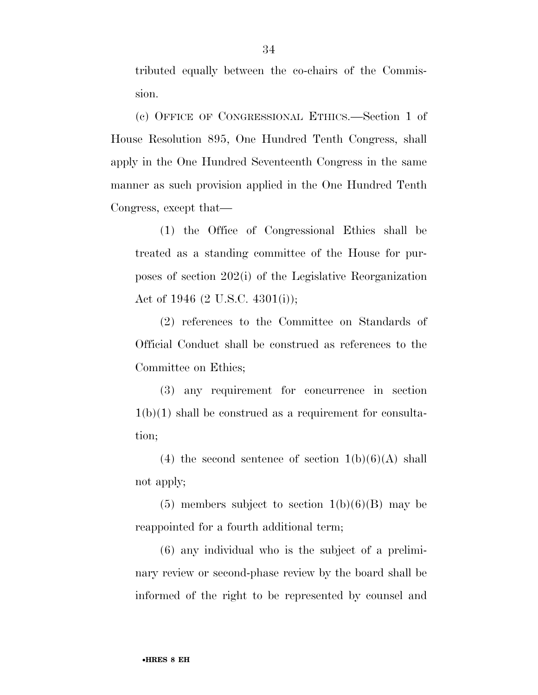tributed equally between the co-chairs of the Commission.

(c) OFFICE OF CONGRESSIONAL ETHICS.—Section 1 of House Resolution 895, One Hundred Tenth Congress, shall apply in the One Hundred Seventeenth Congress in the same manner as such provision applied in the One Hundred Tenth Congress, except that—

(1) the Office of Congressional Ethics shall be treated as a standing committee of the House for purposes of section 202(i) of the Legislative Reorganization Act of 1946 (2 U.S.C. 4301(i));

(2) references to the Committee on Standards of Official Conduct shall be construed as references to the Committee on Ethics;

(3) any requirement for concurrence in section  $1(b)(1)$  shall be construed as a requirement for consultation;

(4) the second sentence of section  $1(b)(6)(A)$  shall not apply;

 $(5)$  members subject to section  $1(b)(6)(B)$  may be reappointed for a fourth additional term;

(6) any individual who is the subject of a preliminary review or second-phase review by the board shall be informed of the right to be represented by counsel and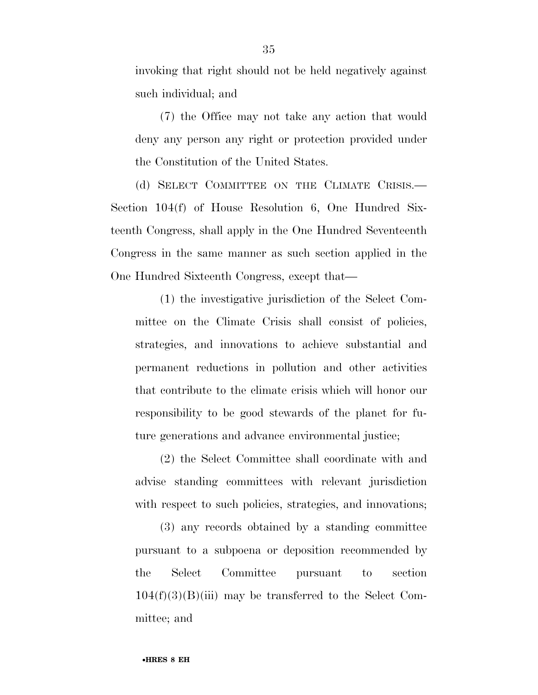invoking that right should not be held negatively against such individual; and

(7) the Office may not take any action that would deny any person any right or protection provided under the Constitution of the United States.

(d) SELECT COMMITTEE ON THE CLIMATE CRISIS.— Section 104(f) of House Resolution 6, One Hundred Sixteenth Congress, shall apply in the One Hundred Seventeenth Congress in the same manner as such section applied in the One Hundred Sixteenth Congress, except that—

(1) the investigative jurisdiction of the Select Committee on the Climate Crisis shall consist of policies, strategies, and innovations to achieve substantial and permanent reductions in pollution and other activities that contribute to the climate crisis which will honor our responsibility to be good stewards of the planet for future generations and advance environmental justice;

(2) the Select Committee shall coordinate with and advise standing committees with relevant jurisdiction with respect to such policies, strategies, and innovations;

(3) any records obtained by a standing committee pursuant to a subpoena or deposition recommended by the Select Committee pursuant to section  $104(f)(3)(B(iii))$  may be transferred to the Select Committee; and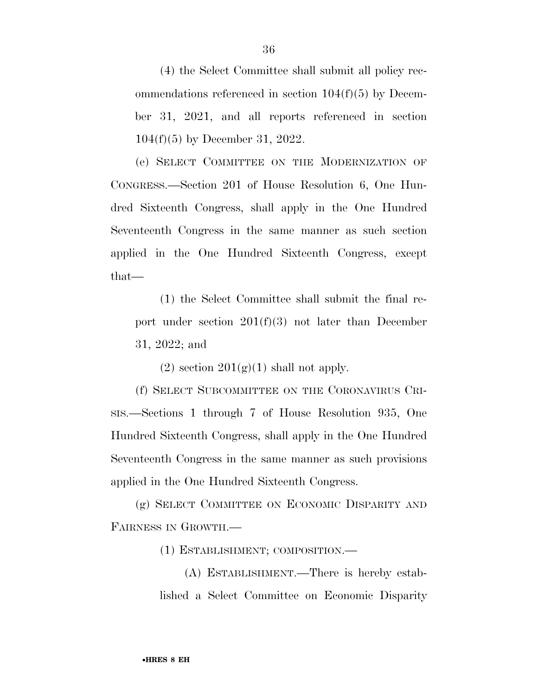(4) the Select Committee shall submit all policy recommendations referenced in section 104(f)(5) by December 31, 2021, and all reports referenced in section 104(f)(5) by December 31, 2022.

(e) SELECT COMMITTEE ON THE MODERNIZATION OF CONGRESS.—Section 201 of House Resolution 6, One Hundred Sixteenth Congress, shall apply in the One Hundred Seventeenth Congress in the same manner as such section applied in the One Hundred Sixteenth Congress, except that—

(1) the Select Committee shall submit the final report under section  $201(f)(3)$  not later than December 31, 2022; and

(2) section  $201(g)(1)$  shall not apply.

(f) SELECT SUBCOMMITTEE ON THE CORONAVIRUS CRI-SIS.—Sections 1 through 7 of House Resolution 935, One Hundred Sixteenth Congress, shall apply in the One Hundred Seventeenth Congress in the same manner as such provisions applied in the One Hundred Sixteenth Congress.

(g) SELECT COMMITTEE ON ECONOMIC DISPARITY AND FAIRNESS IN GROWTH.—

(1) ESTABLISHMENT; COMPOSITION.—

(A) ESTABLISHMENT.—There is hereby established a Select Committee on Economic Disparity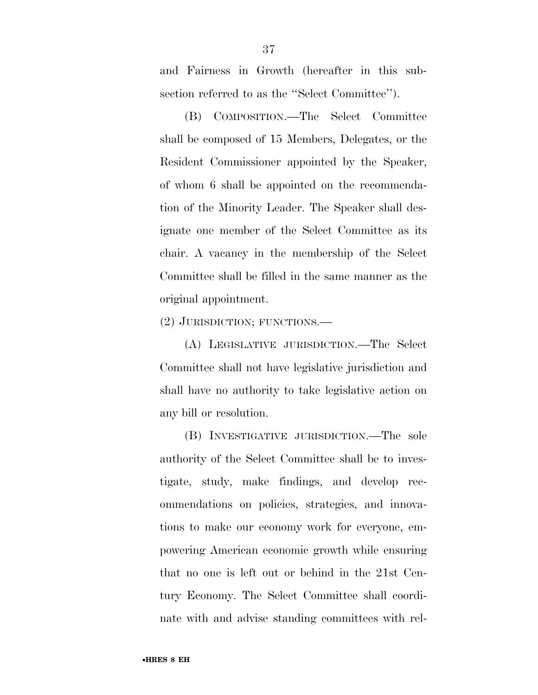and Fairness in Growth (hereafter in this subsection referred to as the ''Select Committee'').

(B) COMPOSITION.—The Select Committee shall be composed of 15 Members, Delegates, or the Resident Commissioner appointed by the Speaker, of whom 6 shall be appointed on the recommendation of the Minority Leader. The Speaker shall designate one member of the Select Committee as its chair. A vacancy in the membership of the Select Committee shall be filled in the same manner as the original appointment.

(2) JURISDICTION; FUNCTIONS.—

(A) LEGISLATIVE JURISDICTION.—The Select Committee shall not have legislative jurisdiction and shall have no authority to take legislative action on any bill or resolution.

(B) INVESTIGATIVE JURISDICTION.—The sole authority of the Select Committee shall be to investigate, study, make findings, and develop recommendations on policies, strategies, and innovations to make our economy work for everyone, empowering American economic growth while ensuring that no one is left out or behind in the 21st Century Economy. The Select Committee shall coordinate with and advise standing committees with rel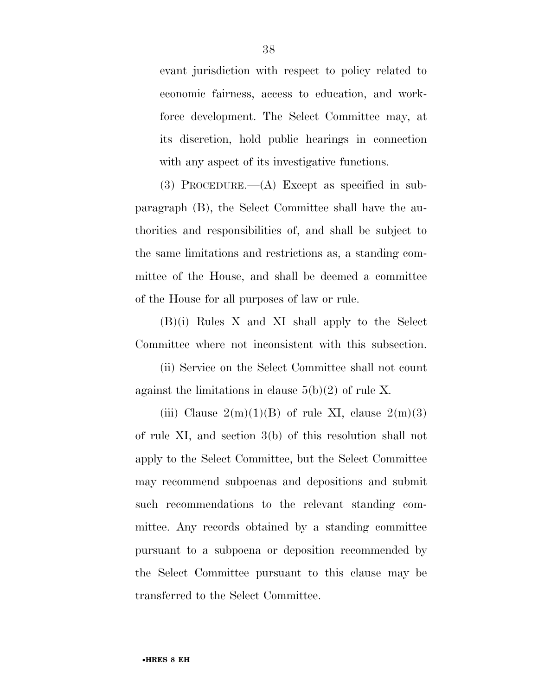evant jurisdiction with respect to policy related to economic fairness, access to education, and workforce development. The Select Committee may, at its discretion, hold public hearings in connection with any aspect of its investigative functions.

(3) PROCEDURE.—(A) Except as specified in subparagraph (B), the Select Committee shall have the authorities and responsibilities of, and shall be subject to the same limitations and restrictions as, a standing committee of the House, and shall be deemed a committee of the House for all purposes of law or rule.

(B)(i) Rules X and XI shall apply to the Select Committee where not inconsistent with this subsection.

(ii) Service on the Select Committee shall not count against the limitations in clause  $5(b)(2)$  of rule X.

(iii) Clause  $2(m)(1)(B)$  of rule XI, clause  $2(m)(3)$ of rule XI, and section 3(b) of this resolution shall not apply to the Select Committee, but the Select Committee may recommend subpoenas and depositions and submit such recommendations to the relevant standing committee. Any records obtained by a standing committee pursuant to a subpoena or deposition recommended by the Select Committee pursuant to this clause may be transferred to the Select Committee.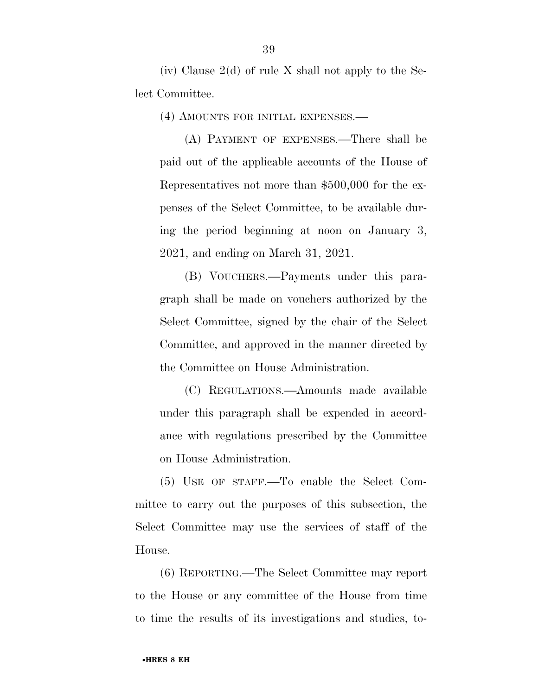(iv) Clause  $2(d)$  of rule X shall not apply to the Select Committee.

(4) AMOUNTS FOR INITIAL EXPENSES.—

(A) PAYMENT OF EXPENSES.—There shall be paid out of the applicable accounts of the House of Representatives not more than \$500,000 for the expenses of the Select Committee, to be available during the period beginning at noon on January 3, 2021, and ending on March 31, 2021.

(B) VOUCHERS.—Payments under this paragraph shall be made on vouchers authorized by the Select Committee, signed by the chair of the Select Committee, and approved in the manner directed by the Committee on House Administration.

(C) REGULATIONS.—Amounts made available under this paragraph shall be expended in accordance with regulations prescribed by the Committee on House Administration.

(5) USE OF STAFF.—To enable the Select Committee to carry out the purposes of this subsection, the Select Committee may use the services of staff of the House.

(6) REPORTING.—The Select Committee may report to the House or any committee of the House from time to time the results of its investigations and studies, to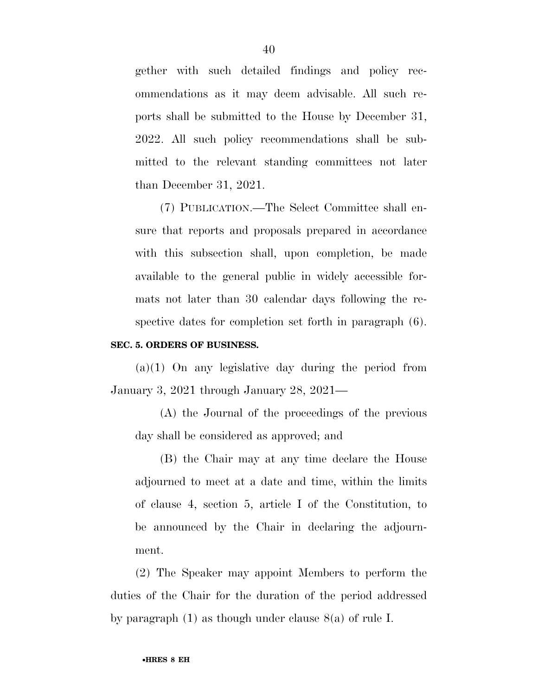gether with such detailed findings and policy recommendations as it may deem advisable. All such reports shall be submitted to the House by December 31, 2022. All such policy recommendations shall be submitted to the relevant standing committees not later than December 31, 2021.

(7) PUBLICATION.—The Select Committee shall ensure that reports and proposals prepared in accordance with this subsection shall, upon completion, be made available to the general public in widely accessible formats not later than 30 calendar days following the respective dates for completion set forth in paragraph (6).

#### **SEC. 5. ORDERS OF BUSINESS.**

 $(a)(1)$  On any legislative day during the period from January 3, 2021 through January 28, 2021—

(A) the Journal of the proceedings of the previous day shall be considered as approved; and

(B) the Chair may at any time declare the House adjourned to meet at a date and time, within the limits of clause 4, section 5, article I of the Constitution, to be announced by the Chair in declaring the adjournment.

(2) The Speaker may appoint Members to perform the duties of the Chair for the duration of the period addressed by paragraph (1) as though under clause 8(a) of rule I.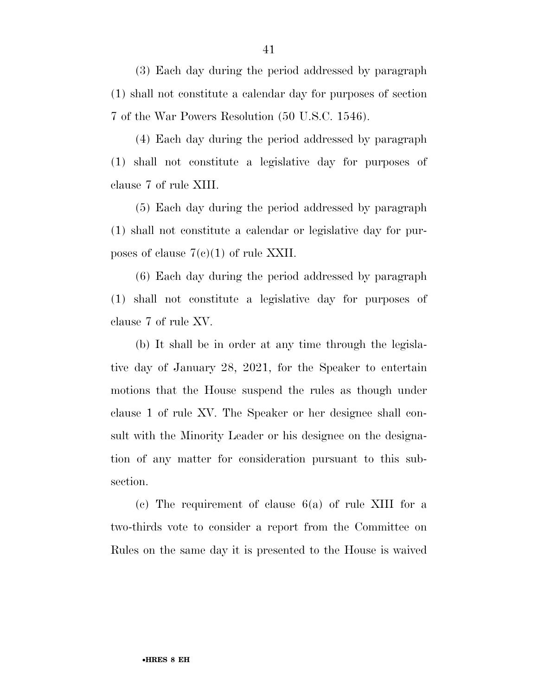(3) Each day during the period addressed by paragraph (1) shall not constitute a calendar day for purposes of section 7 of the War Powers Resolution (50 U.S.C. 1546).

(4) Each day during the period addressed by paragraph (1) shall not constitute a legislative day for purposes of clause 7 of rule XIII.

(5) Each day during the period addressed by paragraph (1) shall not constitute a calendar or legislative day for purposes of clause  $7(e)(1)$  of rule XXII.

(6) Each day during the period addressed by paragraph (1) shall not constitute a legislative day for purposes of clause 7 of rule XV.

(b) It shall be in order at any time through the legislative day of January 28, 2021, for the Speaker to entertain motions that the House suspend the rules as though under clause 1 of rule XV. The Speaker or her designee shall consult with the Minority Leader or his designee on the designation of any matter for consideration pursuant to this subsection.

(c) The requirement of clause 6(a) of rule XIII for a two-thirds vote to consider a report from the Committee on Rules on the same day it is presented to the House is waived